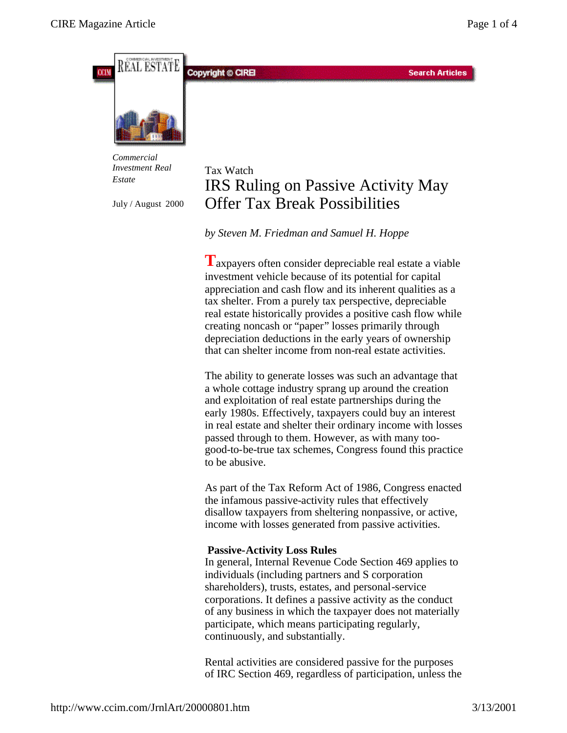

*Commercial Investment Real Estate*

July / August 2000

# Tax Watch IRS Ruling on Passive Activity May Offer Tax Break Possibilities

*by Steven M. Friedman and Samuel H. Hoppe*

**T**axpayers often consider depreciable real estate a viable investment vehicle because of its potential for capital appreciation and cash flow and its inherent qualities as a tax shelter. From a purely tax perspective, depreciable real estate historically provides a positive cash flow while creating noncash or "paper" losses primarily through depreciation deductions in the early years of ownership that can shelter income from non-real estate activities.

The ability to generate losses was such an advantage that a whole cottage industry sprang up around the creation and exploitation of real estate partnerships during the early 1980s. Effectively, taxpayers could buy an interest in real estate and shelter their ordinary income with losses passed through to them. However, as with many toogood-to-be-true tax schemes, Congress found this practice to be abusive.

As part of the Tax Reform Act of 1986, Congress enacted the infamous passive-activity rules that effectively disallow taxpayers from sheltering nonpassive, or active, income with losses generated from passive activities.

## **Passive-Activity Loss Rules**

In general, Internal Revenue Code Section 469 applies to individuals (including partners and S corporation shareholders), trusts, estates, and personal-service corporations. It defines a passive activity as the conduct of any business in which the taxpayer does not materially participate, which means participating regularly, continuously, and substantially.

Rental activities are considered passive for the purposes of IRC Section 469, regardless of participation, unless the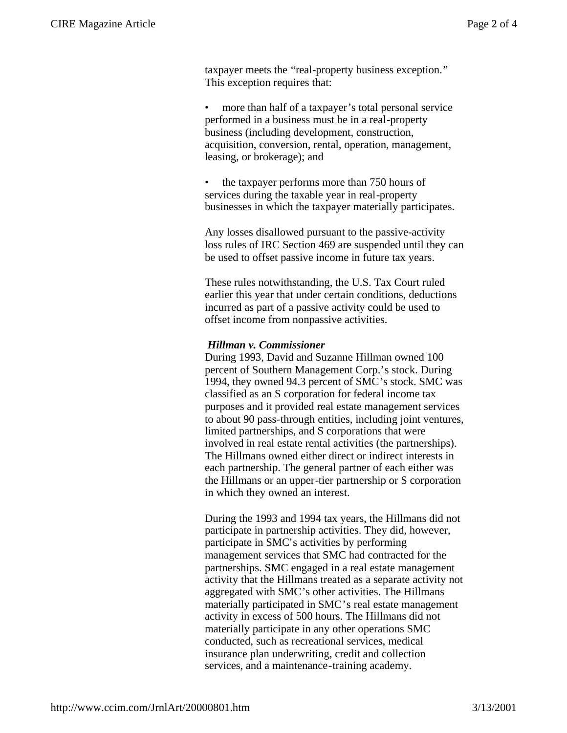taxpayer meets the "real-property business exception." This exception requires that:

• more than half of a taxpayer's total personal service performed in a business must be in a real-property business (including development, construction, acquisition, conversion, rental, operation, management, leasing, or brokerage); and

• the taxpayer performs more than 750 hours of services during the taxable year in real-property businesses in which the taxpayer materially participates.

Any losses disallowed pursuant to the passive-activity loss rules of IRC Section 469 are suspended until they can be used to offset passive income in future tax years.

These rules notwithstanding, the U.S. Tax Court ruled earlier this year that under certain conditions, deductions incurred as part of a passive activity could be used to offset income from nonpassive activities.

### *Hillman v. Commissioner*

During 1993, David and Suzanne Hillman owned 100 percent of Southern Management Corp.'s stock. During 1994, they owned 94.3 percent of SMC's stock. SMC was classified as an S corporation for federal income tax purposes and it provided real estate management services to about 90 pass-through entities, including joint ventures, limited partnerships, and S corporations that were involved in real estate rental activities (the partnerships). The Hillmans owned either direct or indirect interests in each partnership. The general partner of each either was the Hillmans or an upper-tier partnership or S corporation in which they owned an interest.

During the 1993 and 1994 tax years, the Hillmans did not participate in partnership activities. They did, however, participate in SMC's activities by performing management services that SMC had contracted for the partnerships. SMC engaged in a real estate management activity that the Hillmans treated as a separate activity not aggregated with SMC's other activities. The Hillmans materially participated in SMC's real estate management activity in excess of 500 hours. The Hillmans did not materially participate in any other operations SMC conducted, such as recreational services, medical insurance plan underwriting, credit and collection services, and a maintenance-training academy.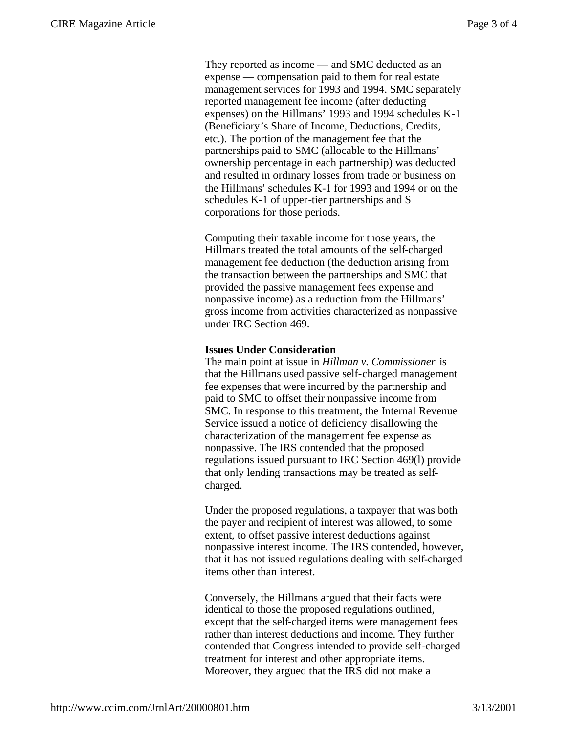They reported as income — and SMC deducted as an expense — compensation paid to them for real estate management services for 1993 and 1994. SMC separately reported management fee income (after deducting expenses) on the Hillmans' 1993 and 1994 schedules K-1 (Beneficiary's Share of Income, Deductions, Credits, etc.). The portion of the management fee that the partnerships paid to SMC (allocable to the Hillmans' ownership percentage in each partnership) was deducted and resulted in ordinary losses from trade or business on the Hillmans' schedules K-1 for 1993 and 1994 or on the schedules K-1 of upper-tier partnerships and S corporations for those periods.

Computing their taxable income for those years, the Hillmans treated the total amounts of the self-charged management fee deduction (the deduction arising from the transaction between the partnerships and SMC that provided the passive management fees expense and nonpassive income) as a reduction from the Hillmans' gross income from activities characterized as nonpassive under IRC Section 469.

#### **Issues Under Consideration**

The main point at issue in *Hillman v. Commissioner* is that the Hillmans used passive self-charged management fee expenses that were incurred by the partnership and paid to SMC to offset their nonpassive income from SMC. In response to this treatment, the Internal Revenue Service issued a notice of deficiency disallowing the characterization of the management fee expense as nonpassive. The IRS contended that the proposed regulations issued pursuant to IRC Section 469(l) provide that only lending transactions may be treated as selfcharged.

Under the proposed regulations, a taxpayer that was both the payer and recipient of interest was allowed, to some extent, to offset passive interest deductions against nonpassive interest income. The IRS contended, however, that it has not issued regulations dealing with self-charged items other than interest.

Conversely, the Hillmans argued that their facts were identical to those the proposed regulations outlined, except that the self-charged items were management fees rather than interest deductions and income. They further contended that Congress intended to provide self-charged treatment for interest and other appropriate items. Moreover, they argued that the IRS did not make a